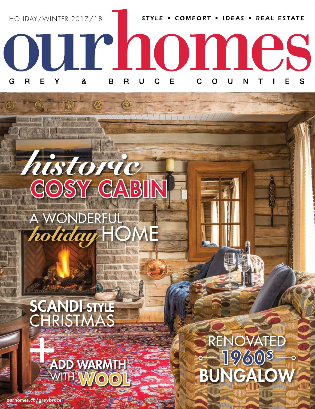

 $\top$   $\top$   $\top$   $\top$   $\top$   $\top$ 

## ustoric A WONDERFUL holiday H

## SCANDI-STYLE<br>CHRISTMAS

麻

## ADD WARMTH **HWOO**

ourhomes.ca/greybruce

## RENOVATED  $(9/6)08$ .